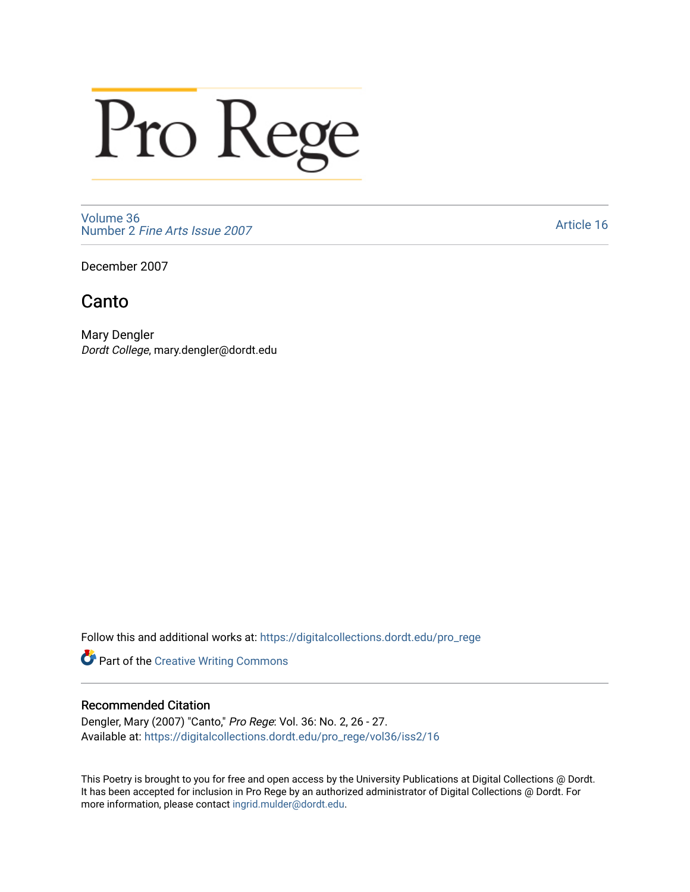## Pro Rege

[Volume 36](https://digitalcollections.dordt.edu/pro_rege/vol36) Number 2 [Fine Arts Issue 2007](https://digitalcollections.dordt.edu/pro_rege/vol36/iss2) 

[Article 16](https://digitalcollections.dordt.edu/pro_rege/vol36/iss2/16) 

December 2007

## Canto

Mary Dengler Dordt College, mary.dengler@dordt.edu

Follow this and additional works at: [https://digitalcollections.dordt.edu/pro\\_rege](https://digitalcollections.dordt.edu/pro_rege?utm_source=digitalcollections.dordt.edu%2Fpro_rege%2Fvol36%2Fiss2%2F16&utm_medium=PDF&utm_campaign=PDFCoverPages) 

Part of the [Creative Writing Commons](http://network.bepress.com/hgg/discipline/574?utm_source=digitalcollections.dordt.edu%2Fpro_rege%2Fvol36%2Fiss2%2F16&utm_medium=PDF&utm_campaign=PDFCoverPages) 

## Recommended Citation

Dengler, Mary (2007) "Canto," Pro Rege: Vol. 36: No. 2, 26 - 27. Available at: [https://digitalcollections.dordt.edu/pro\\_rege/vol36/iss2/16](https://digitalcollections.dordt.edu/pro_rege/vol36/iss2/16?utm_source=digitalcollections.dordt.edu%2Fpro_rege%2Fvol36%2Fiss2%2F16&utm_medium=PDF&utm_campaign=PDFCoverPages)

This Poetry is brought to you for free and open access by the University Publications at Digital Collections @ Dordt. It has been accepted for inclusion in Pro Rege by an authorized administrator of Digital Collections @ Dordt. For more information, please contact [ingrid.mulder@dordt.edu.](mailto:ingrid.mulder@dordt.edu)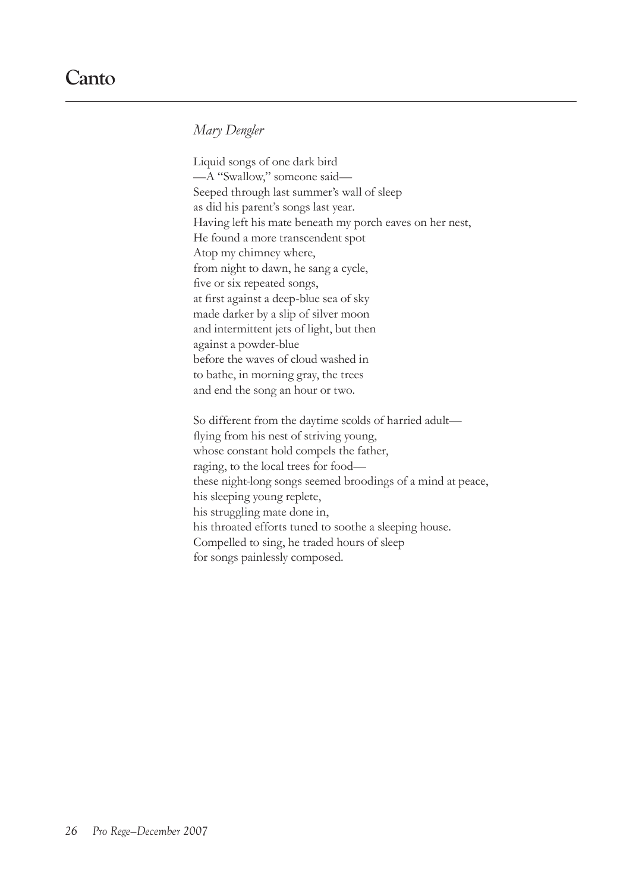*Mary Dengler*

Liquid songs of one dark bird —A "Swallow," someone said— Seeped through last summer's wall of sleep as did his parent's songs last year. Having left his mate beneath my porch eaves on her nest, He found a more transcendent spot Atop my chimney where, from night to dawn, he sang a cycle, five or six repeated songs, at first against a deep-blue sea of sky made darker by a slip of silver moon and intermittent jets of light, but then against a powder-blue before the waves of cloud washed in to bathe, in morning gray, the trees and end the song an hour or two.

So different from the daytime scolds of harried adult flying from his nest of striving young, whose constant hold compels the father, raging, to the local trees for food these night-long songs seemed broodings of a mind at peace, his sleeping young replete, his struggling mate done in, his throated efforts tuned to soothe a sleeping house. Compelled to sing, he traded hours of sleep for songs painlessly composed.